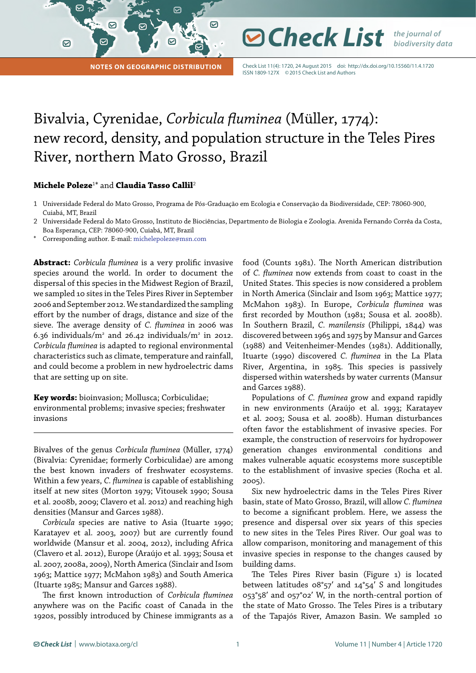**Notes on Geographic Distribution**

Check List 11(4): 1720, 24 August 2015 doi: http://dx.doi.org/10.15560/11.4.1720 ISSN 1809-127X ©2015 Check List and Authors

**⊘ Check List** *the journal of* 

*biodiversity data*

## Bivalvia, Cyrenidae, *Corbicula fluminea* (Müller, 1774): new record, density, and population structure in the Teles Pires River, northern Mato Grosso, Brazil

 $\bm{\boxdot}$ 

## **Michele Poleze**<sup>1</sup> \* and **Claudia Tasso Callil**<sup>2</sup>

 $\boldsymbol{\nabla}$ 

♡

 $\boldsymbol{\Theta}$ 

- 1 Universidade Federal do Mato Grosso, Programa de Pós-Graduação em Ecologia e Conservação da Biodiversidade, CEP: 78060-900, Cuiabá, MT, Brazil
- 2 Universidade Federal do Mato Grosso, Instituto de Biociências, Departmento de Biologia e Zoologia. Avenida Fernando Corrêa da Costa, Boa Esperança, CEP: 78060-900, Cuiabá, MT, Brazil
- Corresponding author. E-mail: [michelepoleze@msn.com](mailto:michelepoleze%40msn.com?subject=)

**Abstract:** *Corbicula fluminea* is a very prolific invasive species around the world. In order to document the dispersal of this species in the Midwest Region of Brazil, we sampled 10 sites in the Teles Pires River in September 2006 and September 2012. We standardized the sampling effort by the number of drags, distance and size of the sieve. The average density of *C. fluminea* in 2006 was 6.36 individuals/ $m^2$  and 26.42 individuals/ $m^2$  in 2012. *Corbicula fluminea* is adapted to regional environmental characteristics such as climate, temperature and rainfall, and could become a problem in new hydroelectric dams that are setting up on site.

**Key words:** bioinvasion; Mollusca; Corbiculidae; environmental problems; invasive species; freshwater invasions

Bivalves of the genus *Corbicula fluminea* (Müller, 1774) (Bivalvia: Cyrenidae; formerly Corbiculidae) are among the best known invaders of freshwater ecosystems. Within a few years, *C. fluminea* is capable of establishing itself at new sites (Morton 1979; Vitousek 1990; Sousa et al. 2008b, 2009; Clavero et al. 2012) and reaching high densities (Mansur and Garces 1988).

*Corbicula* species are native to Asia (Ituarte 1990; Karatayev et al. 2003, 2007) but are currently found worldwide (Mansur et al. 2004, 2012), including Africa (Clavero et al. 2012), Europe (Araújo et al. 1993; Sousa et al. 2007, 2008a, 2009), North America (Sinclair and Isom 1963; Mattice 1977; McMahon 1983) and South America (Ituarte 1985; Mansur and Garces 1988).

The first known introduction of *Corbicula fluminea*  anywhere was on the Pacific coast of Canada in the 1920s, possibly introduced by Chinese immigrants as a food (Counts 1981). The North American distribution of *C. fluminea* now extends from coast to coast in the United States. This species is now considered a problem in North America (Sinclair and Isom 1963; Mattice 1977; McMahon 1983). In Europe, *Corbicula fluminea* was first recorded by Mouthon (1981; Sousa et al. 2008b). In Southern Brazil, *C. manilensis* (Philippi, 1844) was discovered between 1965 and 1975 by Mansur and Garces (1988) and Veitenheimer-Mendes (1981). Additionally, Ituarte (1990) discovered *C. fluminea* in the La Plata River, Argentina, in 1985. This species is passively dispersed within watersheds by water currents (Mansur and Garces 1988).

Populations of *C. fluminea* grow and expand rapidly in new environments (Araújo et al. 1993; Karatayev et al. 2003; Sousa et al. 2008b). Human disturbances often favor the establishment of invasive species. For example, the construction of reservoirs for hydropower generation changes environmental conditions and makes vulnerable aquatic ecosystems more susceptible to the establishment of invasive species (Rocha et al. 2005).

Six new hydroelectric dams in the Teles Pires River basin, state of Mato Grosso, Brazil, will allow *C. fluminea*  to become a significant problem. Here, we assess the presence and dispersal over six years of this species to new sites in the Teles Pires River. Our goal was to allow comparison, monitoring and management of this invasive species in response to the changes caused by building dams.

The Teles Pires River basin (Figure 1) is located between latitudes 08°57′ and 14°54′ S and longitudes 053°58′ and 057°02′ W, in the north-central portion of the state of Mato Grosso. The Teles Pires is a tributary of the Tapajós River, Amazon Basin. We sampled 10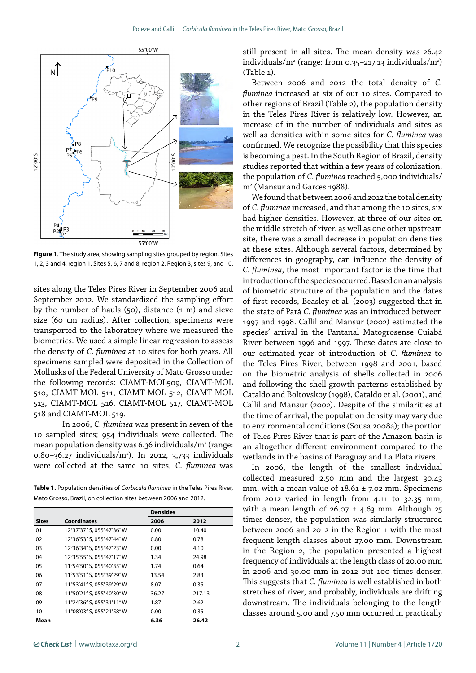

**Figure 1**. The study area, showing sampling sites grouped by region. Sites 1, 2, 3 and 4, region 1. Sites 5, 6, 7 and 8, region 2. Region 3, sites 9, and 10.

sites along the Teles Pires River in September 2006 and September 2012. We standardized the sampling effort by the number of hauls (50), distance (1 m) and sieve size (60 cm radius). After collection, specimens were transported to the laboratory where we measured the biometrics. We used a simple linear regression to assess the density of *C. fluminea* at 10 sites for both years. All specimens sampled were deposited in the Collection of Mollusks of the Federal University of Mato Grosso under the following records: CIAMT-MOL509, CIAMT-MOL 510, CIAMT-MOL 511, CIAMT-MOL 512, CIAMT-MOL 513, CIAMT-MOL 516, CIAMT-MOL 517, CIAMT-MOL 518 and CIAMT-MOL 519.

In 2006, *C. fluminea* was present in seven of the 10 sampled sites; 954 individuals were collected. The mean population density was 6.36 individuals/m<sup>2</sup> (range: 0.80–36.27 individuals/m2 ). In 2012, 3,733 individuals were collected at the same 10 sites, *C. fluminea* was

**Table 1.** Population densities of *Corbicula fluminea* in the Teles Pires River, Mato Grosso, Brazil, on collection sites between 2006 and 2012.

|              |                           | <b>Densities</b> |        |
|--------------|---------------------------|------------------|--------|
| <b>Sites</b> | <b>Coordinates</b>        | 2006             | 2012   |
| 01           | 12°37'37" S, 055°47'36" W | 0.00             | 10.40  |
| 02           | 12°36'53" S, 055°47'44" W | 0.80             | 0.78   |
| 03           | 12°36'34" S, 055°47'23" W | 0.00             | 4.10   |
| 04           | 12°35'55" S, 055°47'17" W | 1.34             | 24.98  |
| 05           | 11°54'50" S, 055°40'35" W | 1.74             | 0.64   |
| 06           | 11°53'51" S, 055°39'29" W | 13.54            | 2.83   |
| 07           | 11°53'41" S, 055°39'29" W | 8.07             | 0.35   |
| 08           | 11°50'21" S, 055°40'30" W | 36.27            | 217.13 |
| 09           | 11°24'36" S, 055°31'11"W  | 1.87             | 2.62   |
| 10           | 11°08'03" S, 055°21'58" W | 0.00             | 0.35   |
| Mean         |                           | 6.36             | 26.42  |

still present in all sites. The mean density was 26.42 individuals/m2 (range: from 0.35–217.13 individuals/m2 ) (Table 1).

Between 2006 and 2012 the total density of *C. fluminea* increased at six of our 10 sites. Compared to other regions of Brazil (Table 2), the population density in the Teles Pires River is relatively low. However, an increase of in the number of individuals and sites as well as densities within some sites for *C. fluminea* was confirmed. We recognize the possibility that this species is becoming a pest. In the South Region of Brazil, density studies reported that within a few years of colonization, the population of *C. fluminea* reached 5,000 individuals/ m2 (Mansur and Garces 1988).

We found that between 2006 and 2012 the total density of *C. fluminea* increased, and that among the 10 sites, six had higher densities. However, at three of our sites on the middle stretch of river, as well as one other upstream site, there was a small decrease in population densities at these sites. Although several factors, determined by differences in geography, can influence the density of *C. fluminea*, the most important factor is the time that introduction of the species occurred. Based on an analysis of biometric structure of the population and the dates of first records, Beasley et al. (2003) suggested that in the state of Pará *C. fluminea* was an introduced between 1997 and 1998. Callil and Mansur (2002) estimated the species' arrival in the Pantanal Matogrosense Cuiabá River between 1996 and 1997. These dates are close to our estimated year of introduction of *C. fluminea* to the Teles Pires River, between 1998 and 2001, based on the biometric analysis of shells collected in 2006 and following the shell growth patterns established by Cataldo and Boltovskoy (1998), Cataldo et al. (2001), and Callil and Mansur (2002). Despite of the similarities at the time of arrival, the population density may vary due to environmental conditions (Sousa 2008a); the portion of Teles Pires River that is part of the Amazon basin is an altogether different environment compared to the wetlands in the basins of Paraguay and La Plata rivers.

In 2006, the length of the smallest individual collected measured 2.50 mm and the largest 30.43 mm, with a mean value of  $18.61 \pm 7.02$  mm. Specimens from 2012 varied in length from 4.11 to 32.35 mm, with a mean length of  $26.07 \pm 4.63$  mm. Although  $25$ times denser, the population was similarly structured between 2006 and 2012 in the Region 1 with the most frequent length classes about 27.00 mm. Downstream in the Region 2, the population presented a highest frequency of individuals at the length class of 20.00 mm in 2006 and 30.00 mm in 2012 but 100 times denser. This suggests that *C. fluminea* is well established in both stretches of river, and probably, individuals are drifting downstream. The individuals belonging to the length classes around 5.00 and 7.50 mm occurred in practically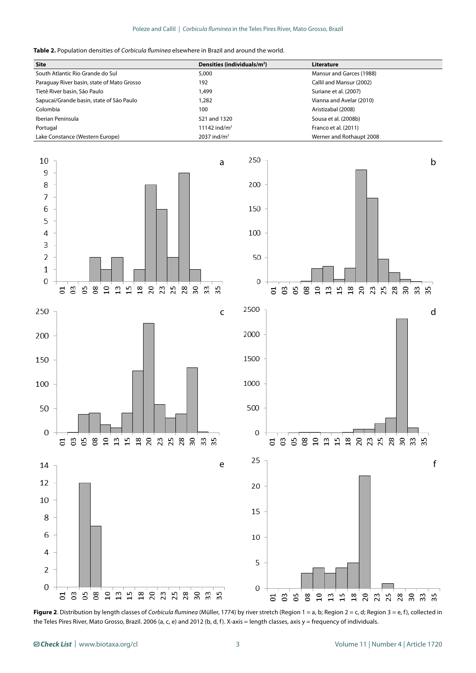

| <b>Site</b>                                | Densities (individuals/m <sup>2</sup> ) | Literature               |
|--------------------------------------------|-----------------------------------------|--------------------------|
| South Atlantic Rio Grande do Sul           | 5,000                                   | Mansur and Garces (1988) |
| Paraguay River basin, state of Mato Grosso | 192                                     | Callil and Mansur (2002) |
| Tietê River basin, São Paulo               | .499                                    | Suriane et al. (2007)    |
| Sapucaí/Grande basin, state of São Paulo   | .282                                    | Vianna and Avelar (2010) |
| Colombia                                   | 100                                     | Aristizabal (2008)       |
| Iberian Peninsula                          | 521 and 1320                            | Sousa et al. (2008b)     |
| Portugal                                   | 11142 ind/m <sup>2</sup>                | Franco et al. (2011)     |
| Lake Constance (Western Europe)            | 2037 ind/ $m2$                          | Werner and Rothaupt 2008 |
|                                            |                                         |                          |











**Figure 2**. Distribution by length classes of *Corbicula fluminea* (Müller, 1774) by river stretch (Region 1 = a, b; Region 2 = c, d; Region 3 = e, f), collected in the Teles Pires River, Mato Grosso, Brazil. 2006 (a, c, e) and 2012 (b, d, f). X-axis = length classes, axis y = frequency of individuals.

14

12

10

8

6

 $\overline{4}$ 

 $\overline{2}$ 

 $\overline{0}$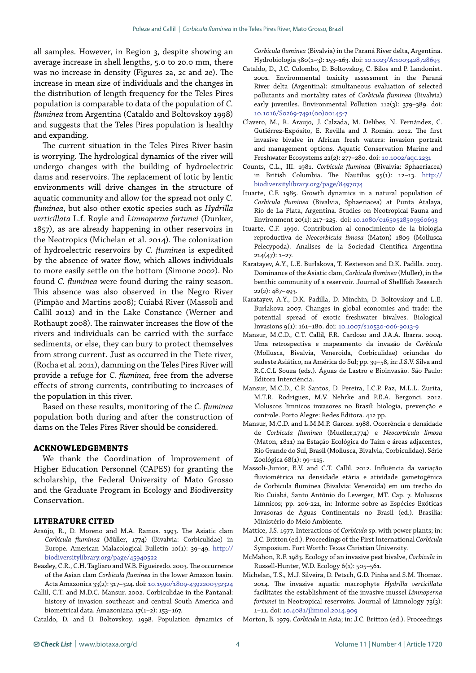all samples. However, in Region 3, despite showing an average increase in shell lengths, 5.0 to 20.0 mm, there was no increase in density (Figures 2a, 2c and 2e). The increase in mean size of individuals and the changes in the distribution of length frequency for the Teles Pires population is comparable to data of the population of *C. fluminea* from Argentina (Cataldo and Boltovskoy 1998) and suggests that the Teles Pires population is healthy and expanding.

The current situation in the Teles Pires River basin is worrying. The hydrological dynamics of the river will undergo changes with the building of hydroelectric dams and reservoirs. The replacement of lotic by lentic environments will drive changes in the structure of aquatic community and allow for the spread not only *C. fluminea*, but also other exotic species such as *Hydrilla verticillata* L.f. Royle and *Limnoperna fortunei* (Dunker, 1857), as are already happening in other reservoirs in the Neotropics (Michelan et al. 2014). The colonization of hydroelectric reservoirs by *C. fluminea* is expedited by the absence of water flow, which allows individuals to more easily settle on the bottom (Simone 2002). No found *C. fluminea* were found during the rainy season. This absence was also observed in the Negro River (Pimpão and Martins 2008); Cuiabá River (Massoli and Callil 2012) and in the Lake Constance (Werner and Rothaupt 2008). The rainwater increases the flow of the rivers and individuals can be carried with the surface sediments, or else, they can bury to protect themselves from strong current. Just as occurred in the Tiete river, (Rocha et al. 2011), damming on the Teles Pires River will provide a refuge for *C. fluminea*, free from the adverse effects of strong currents, contributing to increases of the population in this river.

Based on these results, monitoring of the *C. fluminea* population both during and after the construction of dams on the Teles Pires River should be considered.

## **ACKNOWLEDGEMENTS**

We thank the Coordination of Improvement of Higher Education Personnel (CAPES) for granting the scholarship, the Federal University of Mato Grosso and the Graduate Program in Ecology and Biodiversity Conservation.

## **LITERATURE CITED**

- Araújo, R., D. Moreno and M.A. Ramos. 1993. The Asiatic clam *Corbicula fluminea* (Müller, 1774) (Bivalvia: Corbiculidae) in Europe. American Malacological Bulletin 10(1): 39–49. [http://](http://biodiversitylibrary.org/page/45940522) [biodiversitylibrary.org/page/45940522](http://biodiversitylibrary.org/page/45940522)
- Beasley, C.R., C.H. Tagliaro and W.B. Figueiredo. 2003. The occurrence of the Asian clam *Corbicula fluminea* in the lower Amazon basin. Acta Amazonica 33(2): 317–324. doi: 10.1590/1809-4392200332324
- Callil, C.T. and M.D.C. Mansur. 2002. Corbiculidae in the Pantanal: history of invasion southeast and central South America and biometrical data. Amazoniana 17(1–2): 153–167.
- Cataldo, D. and D. Boltovskoy. 1998. Population dynamics of

*Corbicula fluminea* (Bivalvia) in the Paraná River delta, Argentina. Hydrobiologia 380(1–3): 153–163. doi: [10.1023/A:1003428728693](http://dx.doi.org/10.1023/A:1003428728693)

- Cataldo, D., J.C. Colombo, D. Boltovskoy, C. Bilos and P. Landoniet. 2001. Environmental toxicity assessment in the Paraná River delta (Argentina): simultaneous evaluation of selected pollutants and mortality rates of *Corbicula fluminea* (Bivalvia) early juveniles. Environmental Pollution 112(3): 379–389. doi: 10.1016/S0269-7491(00)00145-7
- Clavero, M., R. Araujo, J. Calzada, M. Delibes, N. Fernández, C. Gutiérrez-Expósito, E. Revilla and J. Román. 2012. The first invasive bivalve in African fresh waters: invasion portrait and management options. Aquatic Conservation Marine and Freshwater Ecosystems 22(2): 277–280. doi: [10.1002/aqc.2231](http://dx.doi.org/10.1002/aqc.2231)
- Counts, C.L., III. 1981. *Corbicula fluminea* (Bivalvia: Sphaeriacea) in British Columbia. The Nautilus 95(1): 12–13. [http://](http://biodiversitylibrary.org/page/8497074) [biodiversitylibrary.org/page/8497074](http://biodiversitylibrary.org/page/8497074)
- Ituarte, C.F. 1985. Growth dynamics in a natural population of *Corbicula fluminea* (Bivalvia, Sphaeriacea) at Punta Atalaya, Rio de La Plata, Argentina. Studies on Neotropical Fauna and Environment 20(1): 217–225. doi: [10.1080/01650528509360693](http://dx.doi.org/10.1080/01650528509360693)
- Ituarte, C.F. 1990. Contribucion al conocimiento de la biologia reproductiva de *Neocorbicula limosa* (Maton) 1809 (Mollusca Pelecypoda). Analises de la Sociedad Cientifica Argentina 214(47): 1–27.
- Karatayev, A.Y., L.E. Burlakova, T. Kesterson and D.K. Padilla. 2003. Dominance of the Asiatic clam, *Corbicula fluminea* (Müller), in the benthic community of a reservoir. Journal of Shellfish Research 22(2): 487–493.
- Karatayev, A.Y., D.K. Padilla, D. Minchin, D. Boltovskoy and L.E. Burlakova 2007. Changes in global economies and trade: the potential spread of exotic freshwater bivalves. Biological Invasions 9(1): 161–180. doi: [10.1007/s10530-006-9013-9](http://dx.doi.org/10.1007/s10530-006-9013-9)
- Mansur, M.C.D., C.T. Callil, F.R. Cardoso and J.A.A. Ibarra. 2004. Uma retrospectiva e mapeamento da invasão de *Corbicula* (Mollusca, Bivalvia, Veneroida, Corbiculidae) oriundas do sudeste Asiático, na América do Sul; pp. 39–58, in: J.S.V. Silva and R.C.C.L Souza (eds.). Águas de Lastro e Bioinvasão. São Paulo: Editora Interciência.
- Mansur, M.C.D., C.P. Santos, D. Pereira, I.C.P. Paz, M.L.L. Zurita, M.T.R. Rodriguez, M.V. Nehrke and P.E.A. Bergonci. 2012. Moluscos límnicos invasores no Brasil: biologia, prevenção e controle. Porto Alegre: Redes Editora. 412 pp.
- Mansur, M.C.D. and L.M.M.P. Garces. 1988. Ocorrência e densidade de *Corbicula fluminea* (Mueller,1774) e *Neocorbicula limosa*  (Maton, 1811) na Estação Ecológica do Taim e áreas adjacentes, Rio Grande do Sul, Brasil (Mollusca, Bivalvia, Corbiculidae). Série Zoológica 68(1): 99–115.
- Massoli-Junior, E.V. and C.T. Callil. 2012. Influência da variação fluviométrica na densidade etária e atividade gametogênica de Corbicula fluminea (Bivalvia: Veneroida) em um trecho do Rio Cuiabá, Santo Antônio do Leverger, MT. Cap. 7. Moluscos Límnicos; pp. 206-221, in: Informe sobre as Espécies Exóticas Invasoras de Águas Continentais no Brasil (ed.). Brasília: Ministério do Meio Ambiente.
- Mattice, J.S. 1977. Interactions of *Corbicula* sp. with power plants; in: J.C. Britton (ed.). Proceedings of the First International *Corbicula*  Symposium. Fort Worth: Texas Christian University.
- McMahon, R.F. 1983. Ecology of an invasive pest bivalve, *Corbicula* in Russell-Hunter, W.D. Ecology 6(1): 505–561.
- Michelan, T.S., M.J. Silveira, D. Petsch, G.D. Pinha and S.M. Thomaz. 2014. The invasive aquatic macrophyte *Hydrilla verticillata* facilitates the establishment of the invasive mussel *Limnoperna fortunei* in Neotropical reservoirs. Journal of Limnology 73(3): 1–11. doi: [10.4081/jlimnol.2014.909](http://dx.doi.org/10.4081/jlimnol.2014.909)
- Morton, B. 1979. *Corbicula* in Asia; in: J.C. Britton (ed.). Proceedings